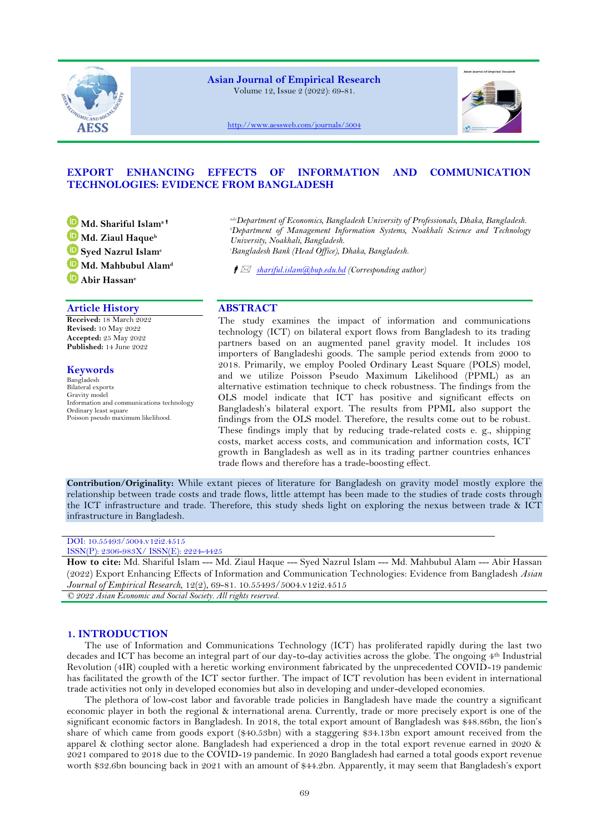

**Asian Journal of Empirical Research** Volume 12, Issue 2 (2022): 69-81.



<http://www.aessweb.com/journals/5004>

## **EXPORT ENHANCING EFFECTS OF INFORMATION AND COMMUNICATION TECHNOLOGIES: EVIDENCE FROM BANGLADESH**

**Md. Shariful Islama Md. Ziaul Haque<sup>b</sup> Syed Nazrul Islam<sup>c</sup> Md. Mahbubul Alam<sup>d</sup> Abir Hassan<sup>e</sup>**

## **Article History ABSTRACT**

**Received:** 18 March 2022 **Revised:** 10 May 2022 **Accepted:** 25 May 2022 **Published:** 14 June 2022

#### **Keywords**

Bangladesh Bilateral exports Gravity model Information and communications technology Ordinary least square Poisson pseudo maximum likelihood.

*a,d,eDepartment of Economics, Bangladesh University of Professionals, Dhaka, Bangladesh. <sup>b</sup>Department of Management Information Systems, Noakhali Science and Technology University, Noakhali, Bangladesh. <sup>c</sup>Bangladesh Bank (Head Office), Dhaka, Bangladesh.*

 *[shariful.islam@bup.edu.bd](mailto:shariful.islam@bup.edu.bd) (Corresponding author)*

The study examines the impact of information and communications technology (ICT) on bilateral export flows from Bangladesh to its trading partners based on an augmented panel gravity model. It includes 108 importers of Bangladeshi goods. The sample period extends from 2000 to 2018. Primarily, we employ Pooled Ordinary Least Square (POLS) model, and we utilize Poisson Pseudo Maximum Likelihood (PPML) as an alternative estimation technique to check robustness. The findings from the OLS model indicate that ICT has positive and significant effects on Bangladesh's bilateral export. The results from PPML also support the findings from the OLS model. Therefore, the results come out to be robust. These findings imply that by reducing trade-related costs e. g., shipping costs, market access costs, and communication and information costs, ICT growth in Bangladesh as well as in its trading partner countries enhances trade flows and therefore has a trade-boosting effect.

**Contribution/Originality:** While extant pieces of literature for Bangladesh on gravity model mostly explore the relationship between trade costs and trade flows, little attempt has been made to the studies of trade costs through the ICT infrastructure and trade. Therefore, this study sheds light on exploring the nexus between trade & ICT infrastructure in Bangladesh.

# DOI: 10.55493/5004.v12i2.4515

ISSN(P): 2306-983X/ ISSN(E): 2224-4425

**How to cite:** Md. Shariful Islam --- Md. Ziaul Haque --- Syed Nazrul Islam --- Md. Mahbubul Alam --- Abir Hassan (2022) Export Enhancing Effects of Information and Communication Technologies: Evidence from Bangladesh *Asian Journal of Empirical Research*, 12(2), 69-81. 10.55493/5004.v12i2.4515

*© 2022 Asian Economic and Social Society. All rights reserved.*

## **1. INTRODUCTION**

The use of Information and Communications Technology (ICT) has proliferated rapidly during the last two decades and ICT has become an integral part of our day-to-day activities across the globe. The ongoing 4th Industrial Revolution (4IR) coupled with a heretic working environment fabricated by the unprecedented COVID-19 pandemic has facilitated the growth of the ICT sector further. The impact of ICT revolution has been evident in international trade activities not only in developed economies but also in developing and under-developed economies.

The plethora of low-cost labor and favorable trade policies in Bangladesh have made the country a significant economic player in both the regional & international arena. Currently, trade or more precisely export is one of the significant economic factors in Bangladesh. In 2018, the total export amount of Bangladesh was \$48.86bn, the lion's share of which came from goods export (\$40.53bn) with a staggering \$34.13bn export amount received from the apparel & clothing sector alone. Bangladesh had experienced a drop in the total export revenue earned in 2020 & 2021 compared to 2018 due to the COVID-19 pandemic. In 2020 Bangladesh had earned a total goods export revenue worth \$32.6bn bouncing back in 2021 with an amount of \$44.2bn. Apparently, it may seem that Bangladesh's export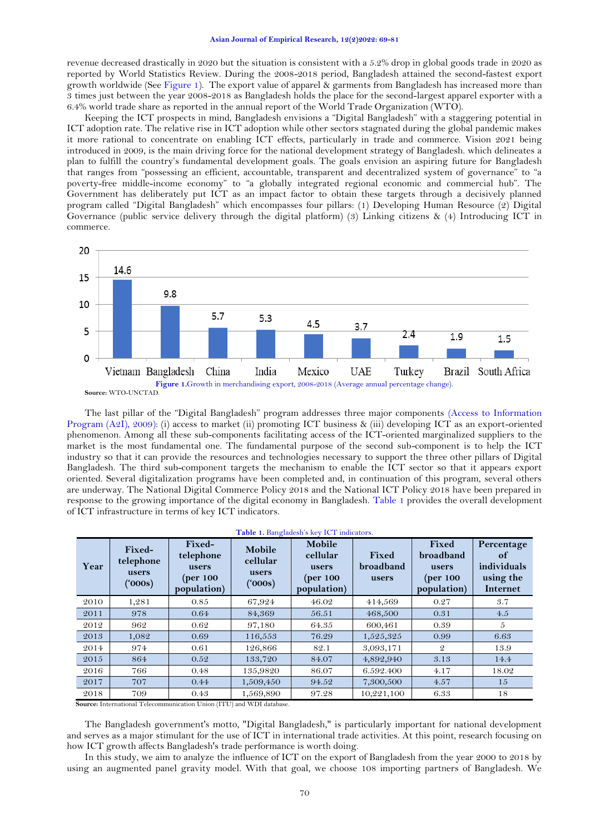revenue decreased drastically in 2020 but the situation is consistent with a 5.2% drop in global goods trade in 2020 as reported by World Statistics Review. During the 2008-2018 period, Bangladesh attained the second-fastest export growth worldwide (See [Figure 1\)](#page-1-0). The export value of apparel & garments from Bangladesh has increased more than 3 times just between the year 2008-2018 as Bangladesh holds the place for the second-largest apparel exporter with a 6.4% world trade share as reported in the annual report of the World Trade Organization (WTO).

Keeping the ICT prospects in mind, Bangladesh envisions a "Digital Bangladesh" with a staggering potential in ICT adoption rate. The relative rise in ICT adoption while other sectors stagnated during the global pandemic makes it more rational to concentrate on enabling ICT effects, particularly in trade and commerce. Vision 2021 being introduced in 2009, is the main driving force for the national development strategy of Bangladesh. which delineates a plan to fulfill the country's fundamental development goals. The goals envision an aspiring future for Bangladesh that ranges from "possessing an efficient, accountable, transparent and decentralized system of governance" to "a poverty-free middle-income economy" to "a globally integrated regional economic and commercial hub". The Government has deliberately put ICT as an impact factor to obtain these targets through a decisively planned program called "Digital Bangladesh" which encompasses four pillars: (1) Developing Human Resource (2) Digital Governance (public service delivery through the digital platform) (3) Linking citizens & (4) Introducing ICT in commerce.



<span id="page-1-0"></span>**Source:** WTO-UNCTAD.

The last pillar of the "Digital Bangladesh" program addresses three major components [\(Access to Information](#page-10-0)  [Program \(A2I\), 2009\)](#page-10-0): (i) access to market (ii) promoting ICT business & (iii) developing ICT as an export-oriented phenomenon. Among all these sub-components facilitating access of the ICT-oriented marginalized suppliers to the market is the most fundamental one. The fundamental purpose of the second sub-component is to help the ICT industry so that it can provide the resources and technologies necessary to support the three other pillars of Digital Bangladesh. The third sub-component targets the mechanism to enable the ICT sector so that it appears export oriented. Several digitalization programs have been completed and, in continuation of this program, several others are underway. The National Digital Commerce Policy 2018 and the National ICT Policy 2018 have been prepared in response to the growing importance of the digital economy in Bangladesh. [Table 1](#page-1-1) provides the overall development of ICT infrastructure in terms of key ICT indicators.

| Table 1. Bangladesh's key ICT indicators. |  |
|-------------------------------------------|--|
|-------------------------------------------|--|

<span id="page-1-1"></span>

| Year | Fixed-<br>telephone<br>users<br>(000s) | Fixed-<br>telephone<br>users<br>(per 100<br>population) | Mobile<br>cellular<br>users<br>(5000s) | Mobile<br>cellular<br>users<br>(per 100)<br>population) | Fixed<br>broadband<br>users | Fixed<br>broadband<br>users<br>(per 100)<br>population) | Percentage<br><sub>of</sub><br>individuals<br>using the<br>Internet |
|------|----------------------------------------|---------------------------------------------------------|----------------------------------------|---------------------------------------------------------|-----------------------------|---------------------------------------------------------|---------------------------------------------------------------------|
| 2010 | 1,281                                  | 0.85                                                    | 67,924                                 | 46.02                                                   | 414,569                     | 0.27                                                    | 3.7                                                                 |
| 2011 | 978                                    | 0.64                                                    | 84,369                                 | 56.51                                                   | 468,500                     | 0.31                                                    | 4.5                                                                 |
| 2012 | 962                                    | 0.62                                                    | 97,180                                 | 64.35                                                   | 600,461                     | 0.39                                                    | 5                                                                   |
| 2013 | 1,082                                  | 0.69                                                    | 116,553                                | 76.29                                                   | 1,525,325                   | 0.99                                                    | 6.63                                                                |
| 2014 | 974                                    | 0.61                                                    | 126,866                                | 82.1                                                    | 3,093,171                   | $\mathcal{Q}$                                           | 13.9                                                                |
| 2015 | 864                                    | 0.52                                                    | 133,720                                | 84.07                                                   | 4,892,940                   | 3.13                                                    | 14.4                                                                |
| 2016 | 766                                    | 0.48                                                    | 135,9820                               | 86.07                                                   | 6.592.400                   | 4.17                                                    | 18.02                                                               |
| 2017 | 707                                    | 0.44                                                    | 1,509,450                              | 94.52                                                   | 7,300,500                   | 4.57                                                    | 15                                                                  |
| 2018 | 709                                    | 0.43                                                    | 1,569,890                              | 97.28                                                   | 10,221,100                  | 6.33                                                    | 18                                                                  |

**Source:** International Telecommunication Union (ITU) and WDI database.

The Bangladesh government's motto, "Digital Bangladesh," is particularly important for national development and serves as a major stimulant for the use of ICT in international trade activities. At this point, research focusing on how ICT growth affects Bangladesh's trade performance is worth doing.

In this study, we aim to analyze the influence of ICT on the export of Bangladesh from the year 2000 to 2018 by using an augmented panel gravity model. With that goal, we choose 108 importing partners of Bangladesh. We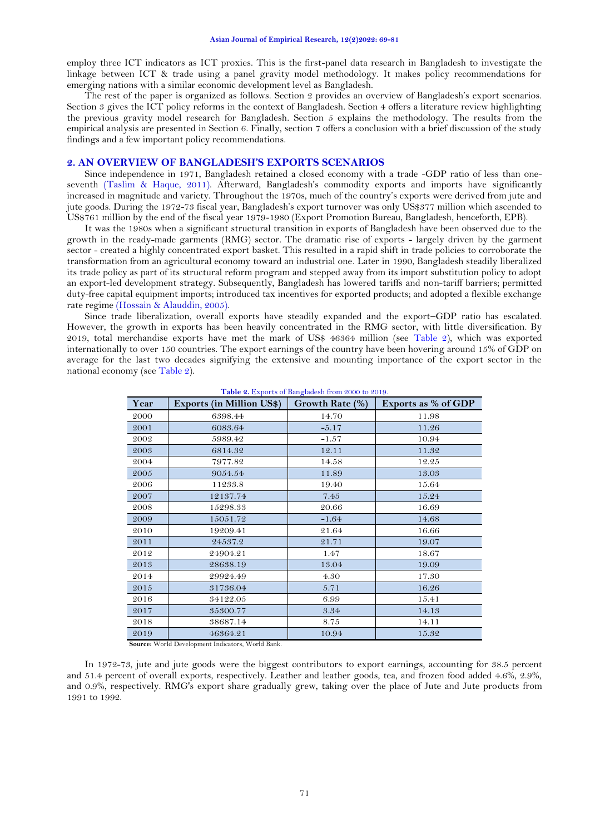employ three ICT indicators as ICT proxies. This is the first-panel data research in Bangladesh to investigate the linkage between ICT & trade using a panel gravity model methodology. It makes policy recommendations for emerging nations with a similar economic development level as Bangladesh.

The rest of the paper is organized as follows. Section 2 provides an overview of Bangladesh's export scenarios. Section 3 gives the ICT policy reforms in the context of Bangladesh. Section 4 offers a literature review highlighting the previous gravity model research for Bangladesh. Section 5 explains the methodology. The results from the empirical analysis are presented in Section 6. Finally, section 7 offers a conclusion with a brief discussion of the study findings and a few important policy recommendations.

### **2. AN OVERVIEW OF BANGLADESH'S EXPORTS SCENARIOS**

Since independence in 1971, Bangladesh retained a closed economy with a trade -GDP ratio of less than oneseventh [\(Taslim & Haque, 2011\)](#page-11-0). Afterward, Bangladesh's commodity exports and imports have significantly increased in magnitude and variety. Throughout the 1970s, much of the country's exports were derived from jute and jute goods. During the 1972-73 fiscal year, Bangladesh's export turnover was only US\$377 million which ascended to US\$761 million by the end of the fiscal year 1979-1980 (Export Promotion Bureau, Bangladesh, henceforth, EPB).

It was the 1980s when a significant structural transition in exports of Bangladesh have been observed due to the growth in the ready-made garments (RMG) sector. The dramatic rise of exports - largely driven by the garment sector - created a highly concentrated export basket. This resulted in a rapid shift in trade policies to corroborate the transformation from an agricultural economy toward an industrial one. Later in 1990, Bangladesh steadily liberalized its trade policy as part of its structural reform program and stepped away from its import substitution policy to adopt an export-led development strategy. Subsequently, Bangladesh has lowered tariffs and non-tariff barriers; permitted duty-free capital equipment imports; introduced tax incentives for exported products; and adopted a flexible exchange rate regime [\(Hossain & Alauddin, 2005\)](#page-10-1).

Since trade liberalization, overall exports have steadily expanded and the export–GDP ratio has escalated. However, the growth in exports has been heavily concentrated in the RMG sector, with little diversification. By 2019, total merchandise exports have met the mark of US\$ 46364 million (see [Table 2\)](#page-2-0), which was exported internationally to over 150 countries. The export earnings of the country have been hovering around 15% of GDP on average for the last two decades signifying the extensive and mounting importance of the export sector in the national economy (see [Table 2\)](#page-2-0).

<span id="page-2-0"></span>

| Year | <b>Exports (in Million US\$)</b> | Growth Rate (%) | Exports as % of GDP |
|------|----------------------------------|-----------------|---------------------|
| 2000 | 6398.44                          | 14.70           | 11.98               |
| 2001 | 6083.64                          | $-5.17$         | 11.26               |
| 2002 | 5989.42                          | $-1.57$         | 10.94               |
| 2003 | 6814.32                          | 12.11           | 11.32               |
| 2004 | 7977.82                          | 14.58           | 12.25               |
| 2005 | 9054.54                          | 11.89           | 13.03               |
| 2006 | 11233.8                          | 19.40           | 15.64               |
| 2007 | 12137.74                         | 7.45            | 15.24               |
| 2008 | 15298.33                         | 20.66           | 16.69               |
| 2009 | 15051.72                         | $-1.64$         | 14.68               |
| 2010 | 19209.41                         | 21.64           | 16.66               |
| 2011 | 24537.2                          | 21.71           | 19.07               |
| 2012 | 24904.21                         | 1.47            | 18.67               |
| 2013 | 28638.19                         | 13.04           | 19.09               |
| 2014 | 29924.49                         | 4.30            | 17.30               |
| 2015 | 31736.04                         | 5.71            | 16.26               |
| 2016 | 34122.05                         | 6.99            | 15.41               |
| 2017 | 35300.77                         | 3.34            | 14.13               |
| 2018 | 38687.14                         | 8.75            | 14.11               |
| 2019 | 46364.21                         | 10.94           | 15.32               |

**Table 2.** Exports of Bangladesh from 2000 to 2019.

**Source:** World Development Indicators, World Bank.

In 1972-73, jute and jute goods were the biggest contributors to export earnings, accounting for 38.5 percent and 51.4 percent of overall exports, respectively. Leather and leather goods, tea, and frozen food added 4.6%, 2.9%, and 0.9%, respectively. RMG's export share gradually grew, taking over the place of Jute and Jute products from 1991 to 1992.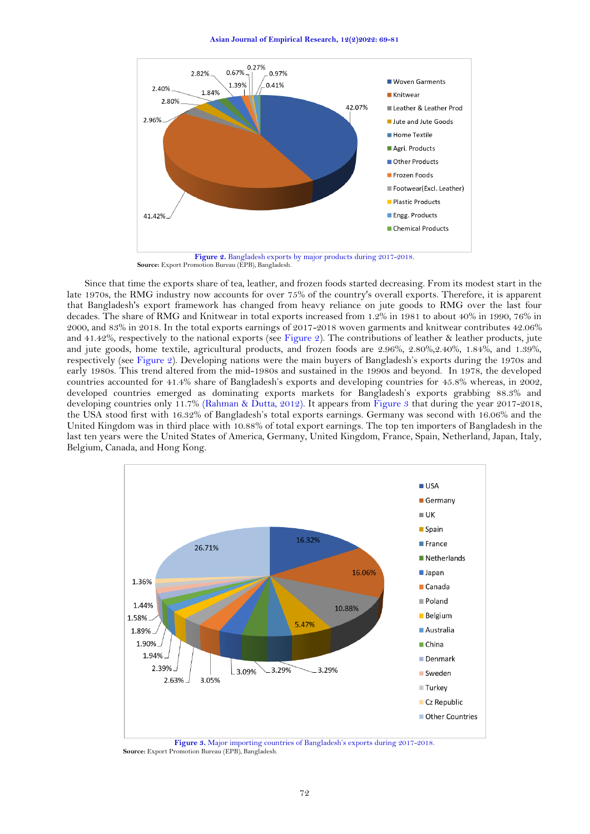

**Source:** Export Promotion Bureau (EPB), Bangladesh.

<span id="page-3-0"></span>Since that time the exports share of tea, leather, and frozen foods started decreasing. From its modest start in the late 1970s, the RMG industry now accounts for over 75% of the country's overall exports. Therefore, it is apparent that Bangladesh's export framework has changed from heavy reliance on jute goods to RMG over the last four decades. The share of RMG and Knitwear in total exports increased from 1.2% in 1981 to about 40% in 1990, 76% in 2000, and 83% in 2018. In the total exports earnings of 2017-2018 woven garments and knitwear contributes 42.06% and 41.42%, respectively to the national exports (see [Figure 2\)](#page-3-0). The contributions of leather & leather products, jute and jute goods, home textile, agricultural products, and frozen foods are 2.96%, 2.80%,2.40%, 1.84%, and 1.39%, respectively (see [Figure 2\)](#page-3-0). Developing nations were the main buyers of Bangladesh's exports during the 1970s and early 1980s. This trend altered from the mid-1980s and sustained in the 1990s and beyond. In 1978, the developed countries accounted for 41.4% share of Bangladesh's exports and developing countries for 45.8% whereas, in 2002, developed countries emerged as dominating exports markets for Bangladesh's exports grabbing 88.3% and developing countries only 11.7% [\(Rahman & Dutta, 2012\)](#page-10-2). It appears from [Figure 3](#page-3-1) that during the year 2017-2018, the USA stood first with 16.32% of Bangladesh's total exports earnings. Germany was second with 16.06% and the United Kingdom was in third place with 10.88% of total export earnings. The top ten importers of Bangladesh in the last ten years were the United States of America, Germany, United Kingdom, France, Spain, Netherland, Japan, Italy, Belgium, Canada, and Hong Kong.



<span id="page-3-1"></span>**Figure 3.** Major importing countries of Bangladesh's exports during 2017-2018. **Source:** Export Promotion Bureau (EPB), Bangladesh.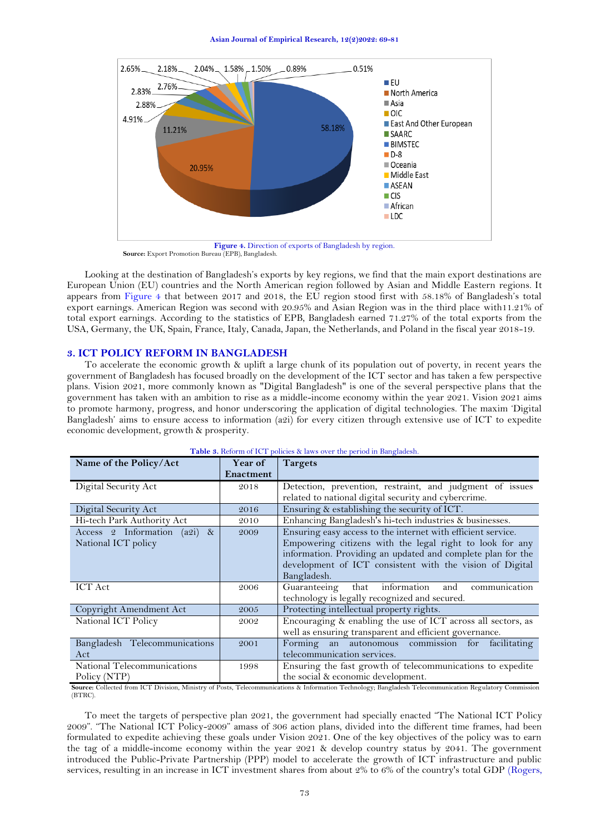

**Source:** Export Promotion Bureau (EPB), Bangladesh.

<span id="page-4-0"></span>Looking at the destination of Bangladesh's exports by key regions, we find that the main export destinations are European Union (EU) countries and the North American region followed by Asian and Middle Eastern regions. It appears from [Figure 4](#page-4-0) that between 2017 and 2018, the EU region stood first with 58.18% of Bangladesh's total export earnings. American Region was second with 20.95% and Asian Region was in the third place with11.21% of total export earnings. According to the statistics of EPB, Bangladesh earned 71.27% of the total exports from the USA, Germany, the UK, Spain, France, Italy, Canada, Japan, the Netherlands, and Poland in the fiscal year 2018-19.

## **3. ICT POLICY REFORM IN BANGLADESH**

To accelerate the economic growth & uplift a large chunk of its population out of poverty, in recent years the government of Bangladesh has focused broadly on the development of the ICT sector and has taken a few perspective plans. Vision 2021, more commonly known as "Digital Bangladesh" is one of the several perspective plans that the government has taken with an ambition to rise as a middle-income economy within the year 2021. Vision 2021 aims to promote harmony, progress, and honor underscoring the application of digital technologies. The maxim 'Digital Bangladesh' aims to ensure access to information (a2i) for every citizen through extensive use of ICT to expedite economic development, growth & prosperity.

| Name of the Policy/Act             | Year of   | <b>Targets</b>                                               |
|------------------------------------|-----------|--------------------------------------------------------------|
|                                    | Enactment |                                                              |
| Digital Security Act               | 2018      | Detection, prevention, restraint, and judgment of issues     |
|                                    |           | related to national digital security and cybercrime.         |
| Digital Security Act               | 2016      | Ensuring & establishing the security of ICT.                 |
| Hi-tech Park Authority Act         | 2010      | Enhancing Bangladesh's hi-tech industries & businesses.      |
| Access 2 Information (a2i)<br>$\&$ | 2009      | Ensuring easy access to the internet with efficient service. |
| National ICT policy                |           | Empowering citizens with the legal right to look for any     |
|                                    |           | information. Providing an updated and complete plan for the  |
|                                    |           | development of ICT consistent with the vision of Digital     |
|                                    |           | Bangladesh.                                                  |
| <b>ICT</b> Act                     | 2006      | communication<br>Guaranteeing that information<br>and        |
|                                    |           | technology is legally recognized and secured.                |
| Copyright Amendment Act            | 2005      | Protecting intellectual property rights.                     |
| National ICT Policy                | 2002      | Encouraging & enabling the use of ICT across all sectors, as |
|                                    |           | well as ensuring transparent and efficient governance.       |
| Bangladesh Telecommunications      | 2001      | Forming an autonomous commission for facilitating            |
| Act                                |           | telecommunication services.                                  |
| National Telecommunications        | 1998      | Ensuring the fast growth of telecommunications to expedite   |
| Policy (NTP)                       |           | the social & economic development.                           |

| <b>Table 3.</b> Reform of ICT policies & laws over the period in Bangladesh. |  |  |  |  |
|------------------------------------------------------------------------------|--|--|--|--|
|------------------------------------------------------------------------------|--|--|--|--|

**Source:** Collected from ICT Division, Ministry of Posts, Telecommunications & Information Technology; Bangladesh Telecommunication Regulatory Commission (BTRC).

To meet the targets of perspective plan 2021, the government had specially enacted "The National ICT Policy 2009". "The National ICT Policy-2009" amass of 306 action plans, divided into the different time frames, had been formulated to expedite achieving these goals under Vision 2021. One of the key objectives of the policy was to earn the tag of a middle-income economy within the year 2021 & develop country status by 2041. The government introduced the Public-Private Partnership (PPP) model to accelerate the growth of ICT infrastructure and public services, resulting in an increase in ICT investment shares from about 2% to 6% of the country's total GDP [\(Rogers,](#page-11-1)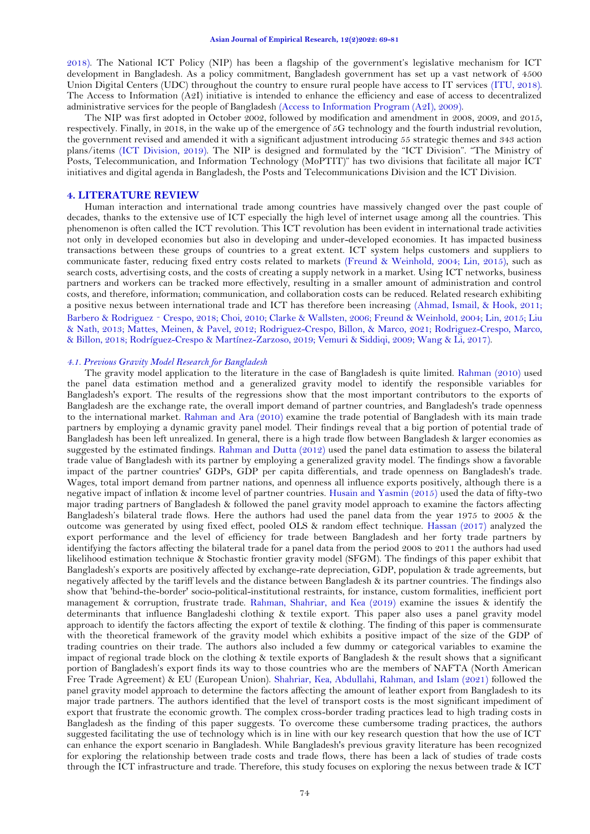[2018\)](#page-11-1). The National ICT Policy (NIP) has been a flagship of the government's legislative mechanism for ICT development in Bangladesh. As a policy commitment, Bangladesh government has set up a vast network of 4500 Union Digital Centers (UDC) throughout the country to ensure rural people have access to IT services [\(ITU, 2018\)](#page-10-3). The Access to Information (A2I) initiative is intended to enhance the efficiency and ease of access to decentralized administrative services for the people of Bangladesh [\(Access to Information Program \(A2I\), 2009\)](#page-10-0).

The NIP was first adopted in October 2002, followed by modification and amendment in 2008, 2009, and 2015, respectively. Finally, in 2018, in the wake up of the emergence of 5G technology and the fourth industrial revolution, the government revised and amended it with a significant adjustment introducing 55 strategic themes and 343 action plans/items [\(ICT Division, 2019\)](#page-10-4). The NIP is designed and formulated by the "ICT Division". "The Ministry of Posts, Telecommunication, and Information Technology (MoPTIT)" has two divisions that facilitate all major ICT initiatives and digital agenda in Bangladesh, the Posts and Telecommunications Division and the ICT Division.

## **4. LITERATURE REVIEW**

Human interaction and international trade among countries have massively changed over the past couple of decades, thanks to the extensive use of ICT especially the high level of internet usage among all the countries. This phenomenon is often called the ICT revolution. This ICT revolution has been evident in international trade activities not only in developed economies but also in developing and under-developed economies. It has impacted business transactions between these groups of countries to a great extent. ICT system helps customers and suppliers to communicate faster, reducing fixed entry costs related to markets [\(Freund & Weinhold, 2004;](#page-10-5) [Lin, 2015\)](#page-10-6), such as search costs, advertising costs, and the costs of creating a supply network in a market. Using ICT networks, business partners and workers can be tracked more effectively, resulting in a smaller amount of administration and control costs, and therefore, information; communication, and collaboration costs can be reduced. Related research exhibiting a positive nexus between international trade and ICT has therefore been increasing [\(Ahmad, Ismail, & Hook, 2011;](#page-10-7) [Barbero & Rodriguez](#page-10-8)‐Crespo, 2018; [Choi, 2010;](#page-10-9) [Clarke & Wallsten, 2006;](#page-10-10) [Freund & Weinhold, 2004;](#page-10-5) [Lin, 2015;](#page-10-6) [Liu](#page-10-11)  [& Nath, 2013;](#page-10-11) [Mattes, Meinen, & Pavel, 2012;](#page-10-12) [Rodriguez-Crespo, Billon, & Marco, 2021;](#page-10-13) [Rodriguez-Crespo, Marco,](#page-11-2)  [& Billon, 2018;](#page-11-2) [Rodríguez-Crespo & Martínez-Zarzoso, 2019;](#page-11-3) [Vemuri & Siddiqi, 2009;](#page-11-4) [Wang & Li, 2017\)](#page-11-5).

## *4.1. Previous Gravity Model Research for Bangladesh*

The gravity model application to the literature in the case of Bangladesh is quite limited. [Rahman \(2010\)](#page-10-14) used the panel data estimation method and a generalized gravity model to identify the responsible variables for Bangladesh's export. The results of the regressions show that the most important contributors to the exports of Bangladesh are the exchange rate, the overall import demand of partner countries, and Bangladesh's trade openness to the international market. [Rahman and Ara \(2010\)](#page-10-15) examine the trade potential of Bangladesh with its main trade partners by employing a dynamic gravity panel model. Their findings reveal that a big portion of potential trade of Bangladesh has been left unrealized. In general, there is a high trade flow between Bangladesh & larger economies as suggested by the estimated findings. [Rahman and Dutta \(2012\)](#page-10-2) used the panel data estimation to assess the bilateral trade value of Bangladesh with its partner by employing a generalized gravity model. The findings show a favorable impact of the partner countries' GDPs, GDP per capita differentials, and trade openness on Bangladesh's trade. Wages, total import demand from partner nations, and openness all influence exports positively, although there is a negative impact of inflation & income level of partner countries. [Husain and Yasmin \(2015\)](#page-10-16) used the data of fifty-two major trading partners of Bangladesh & followed the panel gravity model approach to examine the factors affecting Bangladesh's bilateral trade flows. Here the authors had used the panel data from the year 1975 to 2005 & the outcome was generated by using fixed effect, pooled OLS & random effect technique. [Hassan \(2017\)](#page-10-17) analyzed the export performance and the level of efficiency for trade between Bangladesh and her forty trade partners by identifying the factors affecting the bilateral trade for a panel data from the period 2008 to 2011 the authors had used likelihood estimation technique & Stochastic frontier gravity model (SFGM). The findings of this paper exhibit that Bangladesh's exports are positively affected by exchange-rate depreciation, GDP, population & trade agreements, but negatively affected by the tariff levels and the distance between Bangladesh & its partner countries. The findings also show that 'behind-the-border' socio-political-institutional restraints, for instance, custom formalities, inefficient port management & corruption, frustrate trade. [Rahman, Shahriar, and Kea \(2019\)](#page-10-18) examine the issues & identify the determinants that influence Bangladeshi clothing & textile export. This paper also uses a panel gravity model approach to identify the factors affecting the export of textile & clothing. The finding of this paper is commensurate with the theoretical framework of the gravity model which exhibits a positive impact of the size of the GDP of trading countries on their trade. The authors also included a few dummy or categorical variables to examine the impact of regional trade block on the clothing & textile exports of Bangladesh & the result shows that a significant portion of Bangladesh's export finds its way to those countries who are the members of NAFTA (North American Free Trade Agreement) & EU (European Union). [Shahriar, Kea, Abdullahi, Rahman, and Islam \(2021\)](#page-11-6) followed the panel gravity model approach to determine the factors affecting the amount of leather export from Bangladesh to its major trade partners. The authors identified that the level of transport costs is the most significant impediment of export that frustrate the economic growth. The complex cross-border trading practices lead to high trading costs in Bangladesh as the finding of this paper suggests. To overcome these cumbersome trading practices, the authors suggested facilitating the use of technology which is in line with our key research question that how the use of ICT can enhance the export scenario in Bangladesh. While Bangladesh's previous gravity literature has been recognized for exploring the relationship between trade costs and trade flows, there has been a lack of studies of trade costs through the ICT infrastructure and trade. Therefore, this study focuses on exploring the nexus between trade & ICT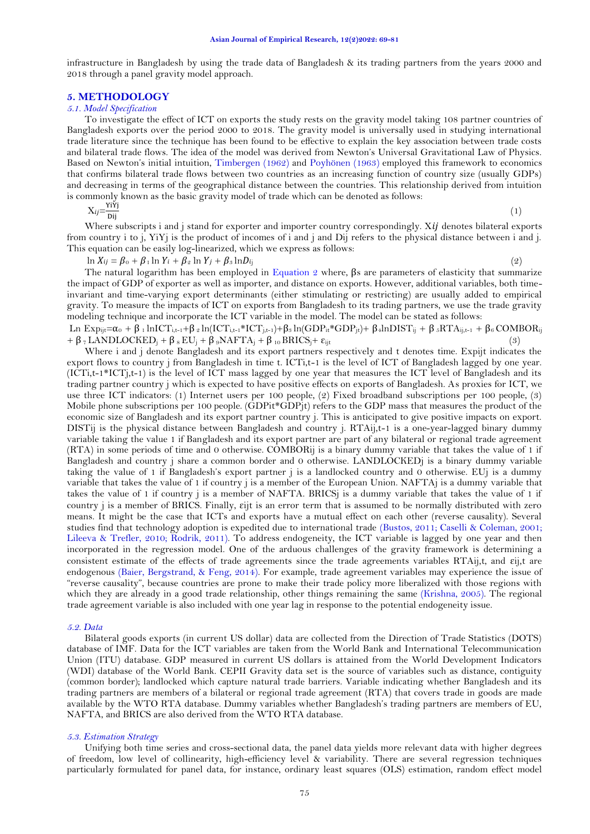infrastructure in Bangladesh by using the trade data of Bangladesh & its trading partners from the years 2000 and 2018 through a panel gravity model approach.

#### **5. METHODOLOGY**

#### *5.1. Model Specification*

To investigate the effect of ICT on exports the study rests on the gravity model taking 108 partner countries of Bangladesh exports over the period 2000 to 2018. The gravity model is universally used in studying international trade literature since the technique has been found to be effective to explain the key association between trade costs and bilateral trade flows. The idea of the model was derived from Newton's Universal Gravitational Law of Physics. Based on Newton's initial intuition, [Timbergen \(1962\)](#page-11-7) and [Poyhönen \(1963\)](#page-10-19) employed this framework to economics that confirms bilateral trade flows between two countries as an increasing function of country size (usually GDPs) and decreasing in terms of the geographical distance between the countries. This relationship derived from intuition is commonly known as the basic gravity model of trade which can be denoted as follows:

<span id="page-6-0"></span> $(1)$ 

Where subscripts i and j stand for exporter and importer country correspondingly. Xij denotes bilateral exports from country i to j, YiYj is the product of incomes of i and j and Dij refers to the physical distance between i and j. This equation can be easily log-linearized, which we express as follows:

 $\ln X_{ij} = \beta_0 + \beta_1 \ln Y_i + \beta_2 \ln Y_j + \beta_3 \ln D_{ij}$ 

<span id="page-6-1"></span>

The natural logarithm has been employed in [Equation 2](#page-6-0) where,  $\beta s$  are parameters of elasticity that summarize the impact of GDP of exporter as well as importer, and distance on exports. However, additional variables, both timeinvariant and time-varying export determinants (either stimulating or restricting) are usually added to empirical gravity. To measure the impacts of ICT on exports from Bangladesh to its trading partners, we use the trade gravity modeling technique and incorporate the ICT variable in the model. The model can be stated as follows:

Ln  $Exp_{ijt} = \alpha_0 + \beta_1 lnICT_{i,t-1} + \beta_2 ln(ICT_{i,t-1} * ICT_{j,t-1}) + \beta_3 ln(GDP_{it} * GDP_{jt}) + \beta_4 lnDIST_{ij} + \beta_5 RTA_{ij,t-1} + \beta_6 COMBOR_{ij}$  $+ \beta_7$ LANDLOCKED<sub>j</sub> +  $\beta_8$ EU<sub>j</sub> +  $\beta_9$ NAFTA<sub>j</sub> +  $\beta_{10}$ BRICS<sub>j</sub>+  $\varepsilon_{ijt}$  (3)

Where i and j denote Bangladesh and its export partners respectively and t denotes time. Expijt indicates the export flows to country j from Bangladesh in time t. ICTi,t-1 is the level of ICT of Bangladesh lagged by one year. (ICTi,t-1\*ICTj,t-1) is the level of ICT mass lagged by one year that measures the ICT level of Bangladesh and its trading partner country j which is expected to have positive effects on exports of Bangladesh. As proxies for ICT, we use three ICT indicators: (1) Internet users per 100 people, (2) Fixed broadband subscriptions per 100 people, (3) Mobile phone subscriptions per 100 people. (GDPit\*GDPjt) refers to the GDP mass that measures the product of the economic size of Bangladesh and its export partner country j. This is anticipated to give positive impacts on export. DISTij is the physical distance between Bangladesh and country j. RTAij,t-1 is a one-year-lagged binary dummy variable taking the value 1 if Bangladesh and its export partner are part of any bilateral or regional trade agreement (RTA) in some periods of time and 0 otherwise. COMBORij is a binary dummy variable that takes the value of 1 if Bangladesh and country j share a common border and 0 otherwise. LANDLOCKEDj is a binary dummy variable taking the value of 1 if Bangladesh's export partner j is a landlocked country and 0 otherwise. EUj is a dummy variable that takes the value of 1 if country j is a member of the European Union. NAFTAj is a dummy variable that takes the value of 1 if country j is a member of NAFTA. BRICSj is a dummy variable that takes the value of 1 if country j is a member of BRICS. Finally, ɛijt is an error term that is assumed to be normally distributed with zero means. It might be the case that ICTs and exports have a mutual effect on each other (reverse causality). Several studies find that technology adoption is expedited due to international trade [\(Bustos, 2011;](#page-10-20) [Caselli & Coleman, 2001;](#page-10-21) [Lileeva & Trefler, 2010;](#page-10-22) [Rodrik, 2011\)](#page-11-8). To address endogeneity, the ICT variable is lagged by one year and then incorporated in the regression model. One of the arduous challenges of the gravity framework is determining a consistent estimate of the effects of trade agreements since the trade agreements variables RTAij,t, and ɛij,t are endogenous [\(Baier, Bergstrand, & Feng, 2014\)](#page-10-23). For example, trade agreement variables may experience the issue of "reverse causality", because countries are prone to make their trade policy more liberalized with those regions with which they are already in a good trade relationship, other things remaining the same [\(Krishna, 2005\)](#page-10-24). The regional trade agreement variable is also included with one year lag in response to the potential endogeneity issue.

#### *5.2. Data*

Bilateral goods exports (in current US dollar) data are collected from the Direction of Trade Statistics (DOTS) database of IMF. Data for the ICT variables are taken from the World Bank and International Telecommunication Union (ITU) database. GDP measured in current US dollars is attained from the World Development Indicators (WDI) database of the World Bank. CEPII Gravity data set is the source of variables such as distance, contiguity (common border); landlocked which capture natural trade barriers. Variable indicating whether Bangladesh and its trading partners are members of a bilateral or regional trade agreement (RTA) that covers trade in goods are made available by the WTO RTA database. Dummy variables whether Bangladesh's trading partners are members of EU, NAFTA, and BRICS are also derived from the WTO RTA database.

#### *5.3. Estimation Strategy*

Unifying both time series and cross-sectional data, the panel data yields more relevant data with higher degrees of freedom, low level of collinearity, high-efficiency level & variability. There are several regression techniques particularly formulated for panel data, for instance, ordinary least squares (OLS) estimation, random effect model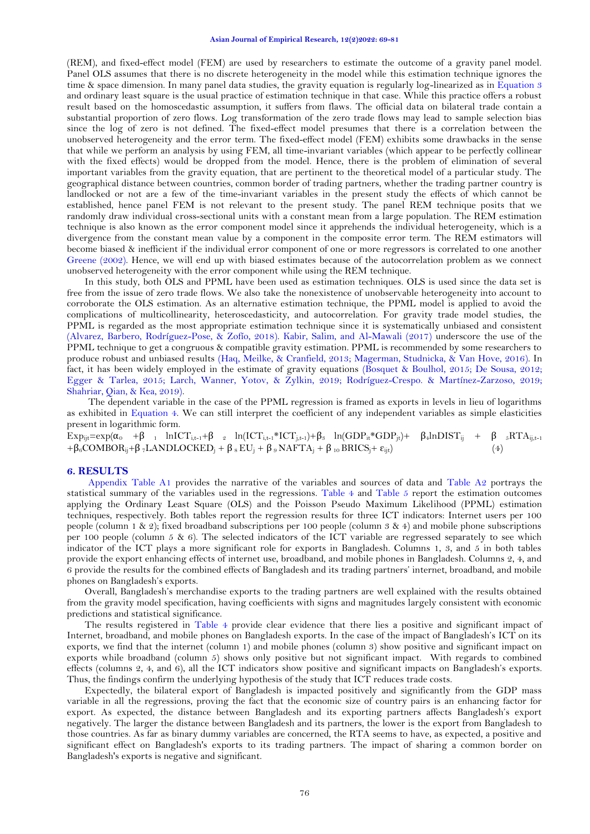(REM), and fixed-effect model (FEM) are used by researchers to estimate the outcome of a gravity panel model. Panel OLS assumes that there is no discrete heterogeneity in the model while this estimation technique ignores the time & space dimension. In many panel data studies, the gravity equation is regularly log-linearized as in [Equation 3](#page-6-1) and ordinary least square is the usual practice of estimation technique in that case. While this practice offers a robust result based on the homoscedastic assumption, it suffers from flaws. The official data on bilateral trade contain a substantial proportion of zero flows. Log transformation of the zero trade flows may lead to sample selection bias since the log of zero is not defined. The fixed-effect model presumes that there is a correlation between the unobserved heterogeneity and the error term. The fixed-effect model (FEM) exhibits some drawbacks in the sense that while we perform an analysis by using FEM, all time-invariant variables (which appear to be perfectly collinear with the fixed effects) would be dropped from the model. Hence, there is the problem of elimination of several important variables from the gravity equation, that are pertinent to the theoretical model of a particular study. The geographical distance between countries, common border of trading partners, whether the trading partner country is landlocked or not are a few of the time-invariant variables in the present study the effects of which cannot be established, hence panel FEM is not relevant to the present study. The panel REM technique posits that we randomly draw individual cross-sectional units with a constant mean from a large population. The REM estimation technique is also known as the error component model since it apprehends the individual heterogeneity, which is a divergence from the constant mean value by a component in the composite error term. The REM estimators will become biased & inefficient if the individual error component of one or more regressors is correlated to one another [Greene \(2002\)](#page-10-25). Hence, we will end up with biased estimates because of the autocorrelation problem as we connect unobserved heterogeneity with the error component while using the REM technique.

In this study, both OLS and PPML have been used as estimation techniques. OLS is used since the data set is free from the issue of zero trade flows. We also take the nonexistence of unobservable heterogeneity into account to corroborate the OLS estimation. As an alternative estimation technique, the PPML model is applied to avoid the complications of multicollinearity, heteroscedasticity, and autocorrelation. For gravity trade model studies, the PPML is regarded as the most appropriate estimation technique since it is systematically unbiased and consistent [\(Alvarez, Barbero, Rodríguez-Pose, & Zofío, 2018\)](#page-10-26). [Kabir, Salim, and Al-Mawali \(2017\)](#page-10-27) underscore the use of the PPML technique to get a congruous & compatible gravity estimation. PPML is recommended by some researchers to produce robust and unbiased results [\(Haq, Meilke, & Cranfield, 2013;](#page-10-28) [Magerman, Studnicka, & Van Hove, 2016\)](#page-10-29). In fact, it has been widely employed in the estimate of gravity equations [\(Bosquet & Boulhol, 2015;](#page-10-30) [De Sousa, 2012;](#page-10-31) [Egger & Tarlea, 2015;](#page-10-32) [Larch, Wanner, Yotov, & Zylkin, 2019;](#page-10-33) [Rodríguez-Crespo. & Martínez-Zarzoso, 2019;](#page-11-3) [Shahriar, Qian, & Kea, 2019\)](#page-11-9).

<span id="page-7-0"></span>The dependent variable in the case of the PPML regression is framed as exports in levels in lieu of logarithms as exhibited in [Equation 4.](#page-7-0) We can still interpret the coefficient of any independent variables as simple elasticities present in logarithmic form.

 $\textup{Exp}_{ijt}=\exp(\alpha_0+\beta_{-1}\textup{lnICT}_{i,t-1}+\beta_{-2}\textup{ln(ICT}_{i,t-1}*ICT_{j,t-1})+\beta_3\textup{ln}(GDP_{it}*GDP_{jt})+\beta_4\textup{lnDIST}_{ij} \ +\ \beta_{-5}RTA_{ij,t-1}$  $+\beta_6$ COMBOR<sub>ij</sub>+ $\beta_7$ LANDLOCKED<sub>j</sub> +  $\beta_8$  EU<sub>j</sub> +  $\beta_9$ NAFTA<sub>j</sub> +  $\beta_{10}$ BRICS<sub>j</sub>+  $\varepsilon_{ijt}$ ) (4)

### **6. RESULTS**

Appendix [Table A1](#page-11-10) provides the narrative of the variables and sources of data and [Table A2](#page-12-0) portrays the statistical summary of the variables used in the regressions. [Table 4](#page-8-0) and [Table 5](#page-9-0) report the estimation outcomes applying the Ordinary Least Square (OLS) and the Poisson Pseudo Maximum Likelihood (PPML) estimation techniques, respectively. Both tables report the regression results for three ICT indicators: Internet users per 100 people (column 1 & 2); fixed broadband subscriptions per 100 people (column 3 & 4) and mobile phone subscriptions per 100 people (column 5 & 6). The selected indicators of the ICT variable are regressed separately to see which indicator of the ICT plays a more significant role for exports in Bangladesh. Columns 1, 3, and 5 in both tables provide the export enhancing effects of internet use, broadband, and mobile phones in Bangladesh. Columns 2, 4, and 6 provide the results for the combined effects of Bangladesh and its trading partners' internet, broadband, and mobile phones on Bangladesh's exports.

Overall, Bangladesh's merchandise exports to the trading partners are well explained with the results obtained from the gravity model specification, having coefficients with signs and magnitudes largely consistent with economic predictions and statistical significance.

The results registered in [Table 4](#page-8-0) provide clear evidence that there lies a positive and significant impact of Internet, broadband, and mobile phones on Bangladesh exports. In the case of the impact of Bangladesh's ICT on its exports, we find that the internet (column 1) and mobile phones (column 3) show positive and significant impact on exports while broadband (column 5) shows only positive but not significant impact. With regards to combined effects (columns 2, 4, and 6), all the ICT indicators show positive and significant impacts on Bangladesh's exports. Thus, the findings confirm the underlying hypothesis of the study that ICT reduces trade costs.

Expectedly, the bilateral export of Bangladesh is impacted positively and significantly from the GDP mass variable in all the regressions, proving the fact that the economic size of country pairs is an enhancing factor for export. As expected, the distance between Bangladesh and its exporting partners affects Bangladesh's export negatively. The larger the distance between Bangladesh and its partners, the lower is the export from Bangladesh to those countries. As far as binary dummy variables are concerned, the RTA seems to have, as expected, a positive and significant effect on Bangladesh's exports to its trading partners. The impact of sharing a common border on Bangladesh's exports is negative and significant.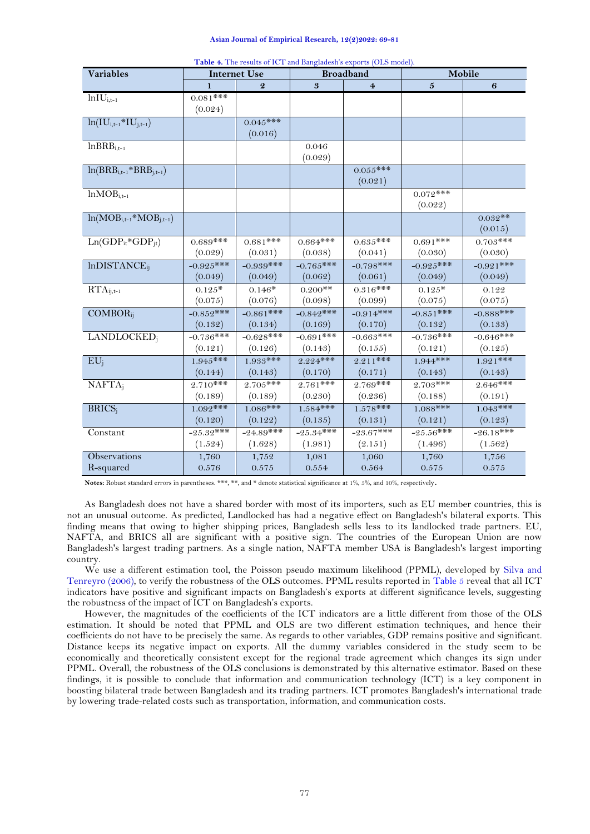| Table 4. The results of ICT and Bangladesh's exports (OLS model). |  |  |
|-------------------------------------------------------------------|--|--|
|-------------------------------------------------------------------|--|--|

<span id="page-8-0"></span>

| <b>Variables</b>                |              | <b>Internet Use</b> |             | <b>Broadband</b> | Mobile         |             |  |
|---------------------------------|--------------|---------------------|-------------|------------------|----------------|-------------|--|
|                                 | $\mathbf{1}$ | $\boldsymbol{2}$    | 3           | $\overline{4}$   | $\overline{5}$ | 6           |  |
| $lnIU_{i,t-1}$                  | $0.081***$   |                     |             |                  |                |             |  |
|                                 | (0.024)      |                     |             |                  |                |             |  |
| $ln(IU_{i,t-1}*IU_{j,t-1})$     |              | $0.045***$          |             |                  |                |             |  |
|                                 |              | (0.016)             |             |                  |                |             |  |
| $ln BRB$ <sub>i,t-1</sub>       |              |                     | 0.046       |                  |                |             |  |
|                                 |              |                     | (0.029)     |                  |                |             |  |
| $ln(BRB_{i,t-1}*BRB_{i,t-1})$   |              |                     |             | $0.055***$       |                |             |  |
|                                 |              |                     |             | (0.021)          |                |             |  |
| $lnMOB$ <sub>i,t-1</sub>        |              |                     |             |                  | $0.072***$     |             |  |
|                                 |              |                     |             |                  | (0.022)        |             |  |
| $ln(MOB_{i,t-1} * MOB_{i,t-1})$ |              |                     |             |                  |                | $0.032**$   |  |
|                                 |              |                     |             |                  |                | (0.015)     |  |
| $Ln(GDP_{it} * GDP_{it})$       | $0.689***$   | $0.681***$          | $0.664***$  | $0.635***$       | $0.691***$     | $0.703***$  |  |
|                                 | (0.029)      | (0.031)             | (0.038)     | (0.041)          | (0.030)        | (0.030)     |  |
| $lnDISTANCE_{ij}$               | $-0.925***$  | $-0.939***$         | $-0.765***$ | $-0.798***$      | $-0.925***$    | $-0.921***$ |  |
|                                 | (0.049)      | (0.049)             | (0.062)     | (0.061)          | (0.049)        | (0.049)     |  |
| $\overline{R}TA_{ij,t-1}$       | $0.125*$     | $0.146*$            | $0.200**$   | $0.316***$       | $0.125*$       | 0.122       |  |
|                                 | (0.075)      | (0.076)             | (0.098)     | (0.099)          | (0.075)        | (0.075)     |  |
| $COMBOR_{ii}$                   | $-0.852***$  | $-0.861***$         | $-0.842***$ | $-0.914***$      | $-0.851***$    | $-0.888***$ |  |
|                                 | (0.132)      | (0.134)             | (0.169)     | (0.170)          | (0.132)        | (0.133)     |  |
| LANDLOCKED;                     | $-0.736***$  | $-0.628***$         | $-0.691***$ | $-0.663***$      | $-0.736***$    | $-0.646***$ |  |
|                                 | (0.121)      | (0.126)             | (0.143)     | (0.155)          | (0.121)        | (0.125)     |  |
| $EU_i$                          | $1.945***$   | $1.933***$          | $2.224***$  | $2.211***$       | $1.944***$     | $1.921***$  |  |
|                                 | (0.144)      | (0.143)             | (0.170)     | (0.171)          | (0.143)        | (0.143)     |  |
| $NAFTA_i$                       | $2.710***$   | $2.705***$          | $2.761***$  | $2.769***$       | $2.703***$     | $2.646***$  |  |
|                                 | (0.189)      | (0.189)             | (0.230)     | (0.236)          | (0.188)        | (0.191)     |  |
| BRICS <sub>i</sub>              | $1.092$ ***  | $1.086***$          | $1.584***$  | $1.578***$       | $1.088$ ***    | $1.043***$  |  |
|                                 | (0.120)      | (0.122)             | (0.135)     | (0.131)          | (0.121)        | (0.123)     |  |
| Constant                        | $-25.32***$  | $-24.89***$         | $-25.34***$ | $-23.67***$      | $-25.56***$    | $-26.18***$ |  |
|                                 | (1.524)      | (1.628)             | (1.981)     | (2.151)          | (1.496)        | (1.562)     |  |
| Observations                    | 1,760        | 1,752               | 1,081       | 1,060            | 1,760          | 1,756       |  |
| R-squared                       | 0.576        | 0.575               | 0.554       | 0.564            | 0.575          | 0.575       |  |

**Notes:** Robust standard errors in parentheses. \*\*\*, \*\*, and \* denote statistical significance at 1%, 5%, and 10%, respectively.

As Bangladesh does not have a shared border with most of its importers, such as EU member countries, this is not an unusual outcome. As predicted, Landlocked has had a negative effect on Bangladesh's bilateral exports. This finding means that owing to higher shipping prices, Bangladesh sells less to its landlocked trade partners. EU, NAFTA, and BRICS all are significant with a positive sign. The countries of the European Union are now Bangladesh's largest trading partners. As a single nation, NAFTA member USA is Bangladesh's largest importing country.

We use a different estimation tool, the Poisson pseudo maximum likelihood (PPML), developed by [Silva and](#page-11-11)  [Tenreyro \(2006\)](#page-11-11), to verify the robustness of the OLS outcomes. PPML results reported in [Table 5](#page-9-0) reveal that all ICT indicators have positive and significant impacts on Bangladesh's exports at different significance levels, suggesting the robustness of the impact of ICT on Bangladesh's exports.

However, the magnitudes of the coefficients of the ICT indicators are a little different from those of the OLS estimation. It should be noted that PPML and OLS are two different estimation techniques, and hence their coefficients do not have to be precisely the same. As regards to other variables, GDP remains positive and significant. Distance keeps its negative impact on exports. All the dummy variables considered in the study seem to be economically and theoretically consistent except for the regional trade agreement which changes its sign under PPML. Overall, the robustness of the OLS conclusions is demonstrated by this alternative estimator. Based on these findings, it is possible to conclude that information and communication technology (ICT) is a key component in boosting bilateral trade between Bangladesh and its trading partners. ICT promotes Bangladesh's international trade by lowering trade-related costs such as transportation, information, and communication costs.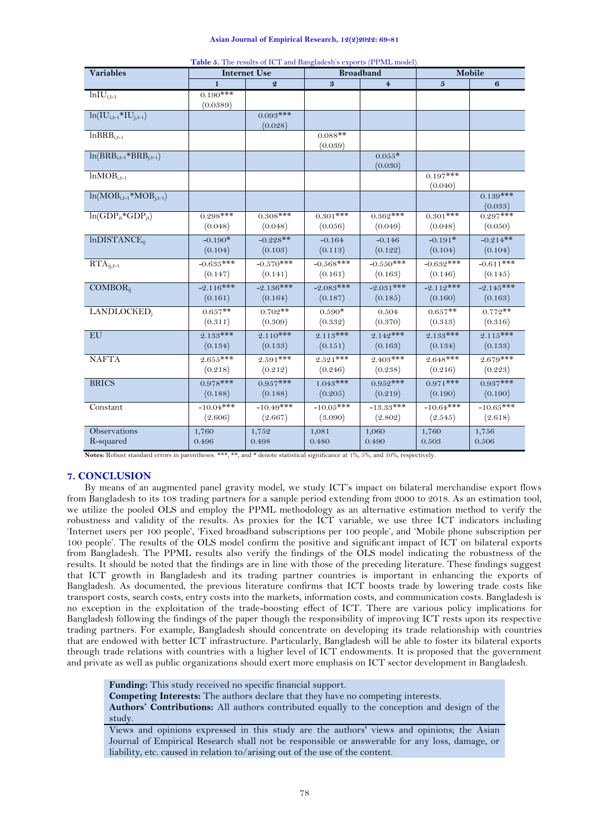<span id="page-9-0"></span>

| <b>Variables</b>                |                        | <b>Internet Use</b>   |                      | <b>Broadband</b>        | Mobile                |                       |  |
|---------------------------------|------------------------|-----------------------|----------------------|-------------------------|-----------------------|-----------------------|--|
|                                 |                        | $\overline{2}$        | 3                    | $\overline{\mathbf{4}}$ | $\overline{5}$        | 6                     |  |
| $lnIU_{i,t-1}$                  | $0.190***$<br>(0.0389) |                       |                      |                         |                       |                       |  |
| $ln(IU_{i,t-1} * IU_{i,t-1})$   |                        | $0.093***$<br>(0.028) |                      |                         |                       |                       |  |
| $lnBRB$ <sub>i.t-1</sub>        |                        |                       | $0.088**$<br>(0.039) |                         |                       |                       |  |
| $ln(BRB_{i,t-1}*BRB_{i,t-1})$   |                        |                       |                      | $0.055*$<br>(0.030)     |                       |                       |  |
| $lnMOB$ <sub>i.t-1</sub>        |                        |                       |                      |                         | $0.197***$<br>(0.040) |                       |  |
| $ln(MOB_{i,t-1} * MOD_{i,t-1})$ |                        |                       |                      |                         |                       | $0.139***$<br>(0.033) |  |
| $ln(GDP_{it} * GDP_{it})$       | $0.298***$             | $0.308***$            | $0.301***$           | $0.362***$              | $0.301***$            | $0.297***$            |  |
|                                 | (0.048)                | (0.048)               | (0.056)              | (0.049)                 | (0.048)               | (0.050)               |  |
| InDISTANCE <sub>ii</sub>        | $-0.190*$              | $-0.228**$            | $-0.164$             | $-0.146$                | $-0.191*$             | $-0.214**$            |  |
|                                 | (0.104)                | (0.103)               | (0.113)              | (0.122)                 | (0.104)               | (0.104)               |  |
| $\overline{RTA}_{ij,t-1}$       | $-0.635***$            | $-0.570***$           | $-0.568***$          | $-0.550***$             | $-0.632***$           | $-0.611***$           |  |
|                                 | (0.147)                | (0.141)               | (0.161)              | (0.163)                 | (0.146)               | (0.145)               |  |
| <b>COMBOR</b> <sub>ij</sub>     | $-2.116***$            | $-2.136***$           | $-2.083***$          | $-2.031***$             | $-2.112***$           | $-2.145***$           |  |
|                                 | (0.161)                | (0.164)               | (0.187)              | (0.185)                 | (0.160)               | (0.163)               |  |
| <b>LANDLOCKED</b> <sub>i</sub>  | $0.657**$              | $0.702**$             | $0.590*$             | 0.504                   | $0.657**$             | $0.772**$             |  |
|                                 | (0.311)                | (0.309)               | (0.332)              | (0.370)                 | (0.313)               | (0.316)               |  |
| <b>EU</b>                       | $2.133***$             | $2.110***$            | $2.113***$           | $2.142***$              | $2.133***$            | $2.115***$            |  |
|                                 | (0.134)                | (0.133)               | (0.151)              | (0.163)                 | (0.134)               | (0.133)               |  |
| <b>NAFTA</b>                    | $2.655***$             | $2.591***$            | $2.521***$           | $2.403***$              | $2.648***$            | $2.679***$            |  |
|                                 | (0.218)                | (0.212)               | (0.246)              | (0.238)                 | (0.216)               | (0.223)               |  |
| <b>BRICS</b>                    | $0.978***$             | $0.957***$            | $1.043***$           | $0.952***$              | $0.971***$            | $0.937***$            |  |
|                                 | (0.188)                | (0.188)               | (0.205)              | (0.219)                 | (0.190)               | (0.190)               |  |
| Constant                        | $-10.04***$            | $-10.49***$           | $-10.05***$          | $-13.33***$             | $-10.64***$           | $-10.65***$           |  |
|                                 | (2.606)                | (2.667)               | (3.090)              | (2.802)                 | (2.545)               | (2.618)               |  |
| Observations                    | 1,760                  | 1,752                 | 1,081                | 1,060                   | 1,760                 | 1,756                 |  |
| R-squared                       | 0.496                  | 0.498                 | 0.480                | 0.490                   | 0.503                 | 0.506                 |  |

**Table 5.** The results of ICT and Bangladesh's exports (PPML model).

Notes: Robust standard errors in parentheses. \*\*\*, \*\*, and \* denote statistical significance at 1%, 5%, and 10%, respectively.

## **7. CONCLUSION**

By means of an augmented panel gravity model, we study ICT's impact on bilateral merchandise export flows from Bangladesh to its 108 trading partners for a sample period extending from 2000 to 2018. As an estimation tool, we utilize the pooled OLS and employ the PPML methodology as an alternative estimation method to verify the robustness and validity of the results. As proxies for the ICT variable, we use three ICT indicators including 'Internet users per 100 people', 'Fixed broadband subscriptions per 100 people', and 'Mobile phone subscription per 100 people'. The results of the OLS model confirm the positive and significant impact of ICT on bilateral exports from Bangladesh. The PPML results also verify the findings of the OLS model indicating the robustness of the results. It should be noted that the findings are in line with those of the preceding literature. These findings suggest that ICT growth in Bangladesh and its trading partner countries is important in enhancing the exports of Bangladesh. As documented, the previous literature confirms that ICT boosts trade by lowering trade costs like transport costs, search costs, entry costs into the markets, information costs, and communication costs. Bangladesh is no exception in the exploitation of the trade-boosting effect of ICT. There are various policy implications for Bangladesh following the findings of the paper though the responsibility of improving ICT rests upon its respective trading partners. For example, Bangladesh should concentrate on developing its trade relationship with countries that are endowed with better ICT infrastructure. Particularly, Bangladesh will be able to foster its bilateral exports through trade relations with countries with a higher level of ICT endowments. It is proposed that the government and private as well as public organizations should exert more emphasis on ICT sector development in Bangladesh.

**Funding:** This study received no specific financial support.

**Competing Interests:** The authors declare that they have no competing interests.

**Authors' Contributions:** All authors contributed equally to the conception and design of the study.

Views and opinions expressed in this study are the authors' views and opinions; the Asian Journal of Empirical Research shall not be responsible or answerable for any loss, damage, or liability, etc. caused in relation to/arising out of the use of the content.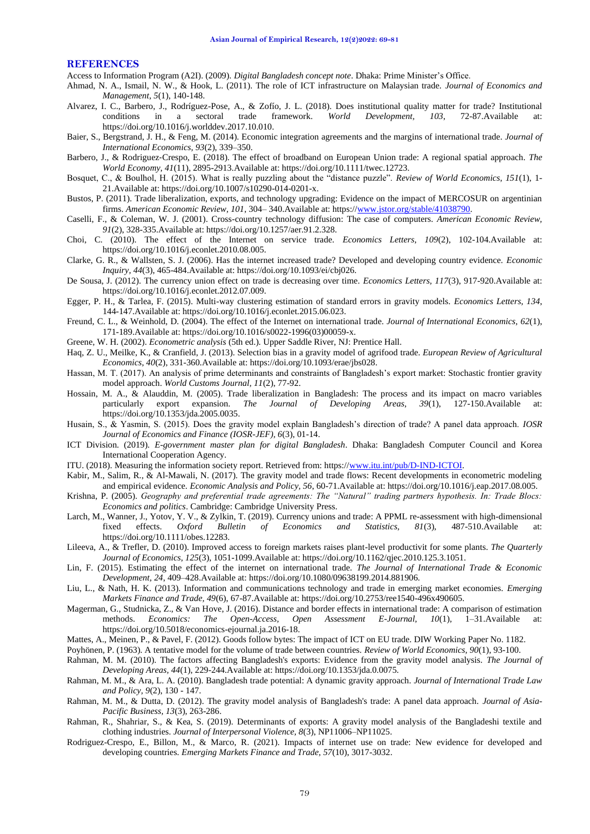#### **REFERENCES**

<span id="page-10-0"></span>Access to Information Program (A2I). (2009). *Digital Bangladesh concept note*. Dhaka: Prime Minister's Office.

- <span id="page-10-7"></span>Ahmad, N. A., Ismail, N. W., & Hook, L. (2011). The role of ICT infrastructure on Malaysian trade. *Journal of Economics and Management, 5*(1), 140-148.
- <span id="page-10-26"></span>Alvarez, I. C., Barbero, J., Rodríguez-Pose, A., & Zofío, J. L. (2018). Does institutional quality matter for trade? Institutional conditions in a sectoral trade framework. *World Development, 103*, 72-87.Available at: https://doi.org/10.1016/j.worlddev.2017.10.010.
- <span id="page-10-23"></span>Baier, S., Bergstrand, J. H., & Feng, M. (2014). Economic integration agreements and the margins of international trade. *Journal of International Economics, 93*(2), 339–350.
- <span id="page-10-8"></span>Barbero, J., & Rodriguez‐Crespo, E. (2018). The effect of broadband on European Union trade: A regional spatial approach. *The World Economy, 41*(11), 2895-2913.Available at: https://doi.org/10.1111/twec.12723.
- <span id="page-10-30"></span>Bosquet, C., & Boulhol, H. (2015). What is really puzzling about the "distance puzzle". *Review of World Economics, 151*(1), 1- 21.Available at: https://doi.org/10.1007/s10290-014-0201-x.
- <span id="page-10-20"></span>Bustos, P. (2011). Trade liberalization, exports, and technology upgrading: Evidence on the impact of MERCOSUR on argentinian firms. *American Economic Review, 101*, 304– 340.Available at: https:[//www.jstor.org/stable/41038790.](http://www.jstor.org/stable/41038790)
- <span id="page-10-21"></span>Caselli, F., & Coleman, W. J. (2001). Cross-country technology diffusion: The case of computers. *American Economic Review, 91*(2), 328-335.Available at: https://doi.org/10.1257/aer.91.2.328.
- <span id="page-10-9"></span>Choi, C. (2010). The effect of the Internet on service trade. *Economics Letters, 109*(2), 102-104.Available at: https://doi.org/10.1016/j.econlet.2010.08.005.
- <span id="page-10-10"></span>Clarke, G. R., & Wallsten, S. J. (2006). Has the internet increased trade? Developed and developing country evidence. *Economic Inquiry, 44*(3), 465-484.Available at: https://doi.org/10.1093/ei/cbj026.
- <span id="page-10-31"></span>De Sousa, J. (2012). The currency union effect on trade is decreasing over time. *Economics Letters, 117*(3), 917-920.Available at: https://doi.org/10.1016/j.econlet.2012.07.009.
- <span id="page-10-32"></span>Egger, P. H., & Tarlea, F. (2015). Multi-way clustering estimation of standard errors in gravity models. *Economics Letters, 134*, 144-147.Available at: https://doi.org/10.1016/j.econlet.2015.06.023.
- <span id="page-10-5"></span>Freund, C. L., & Weinhold, D. (2004). The effect of the Internet on international trade. *Journal of International Economics, 62*(1), 171-189.Available at: https://doi.org/10.1016/s0022-1996(03)00059-x.
- <span id="page-10-25"></span>Greene, W. H. (2002). *Econometric analysis* (5th ed.). Upper Saddle River, NJ: Prentice Hall.
- <span id="page-10-28"></span>Haq, Z. U., Meilke, K., & Cranfield, J. (2013). Selection bias in a gravity model of agrifood trade. *European Review of Agricultural Economics, 40*(2), 331-360.Available at: https://doi.org/10.1093/erae/jbs028.
- <span id="page-10-17"></span>Hassan, M. T. (2017). An analysis of prime determinants and constraints of Bangladesh's export market: Stochastic frontier gravity model approach. *World Customs Journal, 11*(2), 77-92.
- <span id="page-10-1"></span>Hossain, M. A., & Alauddin, M. (2005). Trade liberalization in Bangladesh: The process and its impact on macro variables particularly export expansion. *The Journal of Developing Areas, 39*(1), 127-150.Available at: https://doi.org/10.1353/jda.2005.0035.
- <span id="page-10-16"></span>Husain, S., & Yasmin, S. (2015). Does the gravity model explain Bangladesh's direction of trade? A panel data approach. *IOSR Journal of Economics and Finance (IOSR-JEF), 6*(3), 01-14.
- <span id="page-10-4"></span>ICT Division. (2019). *E-government master plan for digital Bangladesh*. Dhaka: Bangladesh Computer Council and Korea International Cooperation Agency.
- <span id="page-10-3"></span>ITU. (2018). Measuring the information society report. Retrieved from: https:/[/www.itu.int/pub/D-IND-ICTOI.](http://www.itu.int/pub/D-IND-ICTOI)
- <span id="page-10-27"></span>Kabir, M., Salim, R., & Al-Mawali, N. (2017). The gravity model and trade flows: Recent developments in econometric modeling and empirical evidence. *Economic Analysis and Policy, 56*, 60-71.Available at: https://doi.org/10.1016/j.eap.2017.08.005.
- <span id="page-10-24"></span>Krishna, P. (2005). *Geography and preferential trade agreements: The "Natural" trading partners hypothesis. In: Trade Blocs: Economics and politics*. Cambridge: Cambridge University Press.
- <span id="page-10-33"></span>Larch, M., Wanner, J., Yotov, Y. V., & Zylkin, T. (2019). Currency unions and trade: A PPML re-assessment with high-dimensional fixed effects. *Oxford Bulletin of Economics and Statistics, 81*(3), 487-510.Available at: https://doi.org/10.1111/obes.12283.
- <span id="page-10-22"></span>Lileeva, A., & Trefler, D. (2010). Improved access to foreign markets raises plant-level productivit for some plants. *The Quarterly Journal of Economics, 125*(3), 1051-1099.Available at: https://doi.org/10.1162/qjec.2010.125.3.1051.
- <span id="page-10-6"></span>Lin, F. (2015). Estimating the effect of the internet on international trade. *The Journal of International Trade & Economic Development, 24*, 409–428.Available at: https://doi.org/10.1080/09638199.2014.881906.
- <span id="page-10-11"></span>Liu, L., & Nath, H. K. (2013). Information and communications technology and trade in emerging market economies. *Emerging Markets Finance and Trade, 49*(6), 67-87.Available at: https://doi.org/10.2753/ree1540-496x490605.
- <span id="page-10-29"></span>Magerman, G., Studnicka, Z., & Van Hove, J. (2016). Distance and border effects in international trade: A comparison of estimation methods. *Economics: The Open-Access, Open Assessment E-Journal, 10*(1), 1-31.Available https://doi.org/10.5018/economics-ejournal.ja.2016-18.
- <span id="page-10-12"></span>Mattes, A., Meinen, P., & Pavel, F. (2012). Goods follow bytes: The impact of ICT on EU trade. DIW Working Paper No. 1182.
- <span id="page-10-19"></span>Poyhönen, P. (1963). A tentative model for the volume of trade between countries. *Review of World Economics, 90*(1), 93-100.
- <span id="page-10-14"></span>Rahman, M. M. (2010). The factors affecting Bangladesh's exports: Evidence from the gravity model analysis. *The Journal of Developing Areas, 44*(1), 229-244.Available at: https://doi.org/10.1353/jda.0.0075.
- <span id="page-10-15"></span>Rahman, M. M., & Ara, L. A. (2010). Bangladesh trade potential: A dynamic gravity approach. *Journal of International Trade Law and Policy, 9*(2), 130 - 147.
- <span id="page-10-2"></span>Rahman, M. M., & Dutta, D. (2012). The gravity model analysis of Bangladesh's trade: A panel data approach. *Journal of Asia-Pacific Business, 13*(3), 263-286.
- <span id="page-10-18"></span>Rahman, R., Shahriar, S., & Kea, S. (2019). Determinants of exports: A gravity model analysis of the Bangladeshi textile and clothing industries. *Journal of Interpersonal Violence, 8*(3), NP11006–NP11025.
- <span id="page-10-13"></span>Rodriguez-Crespo, E., Billon, M., & Marco, R. (2021). Impacts of internet use on trade: New evidence for developed and developing countries. *Emerging Markets Finance and Trade, 57*(10), 3017-3032.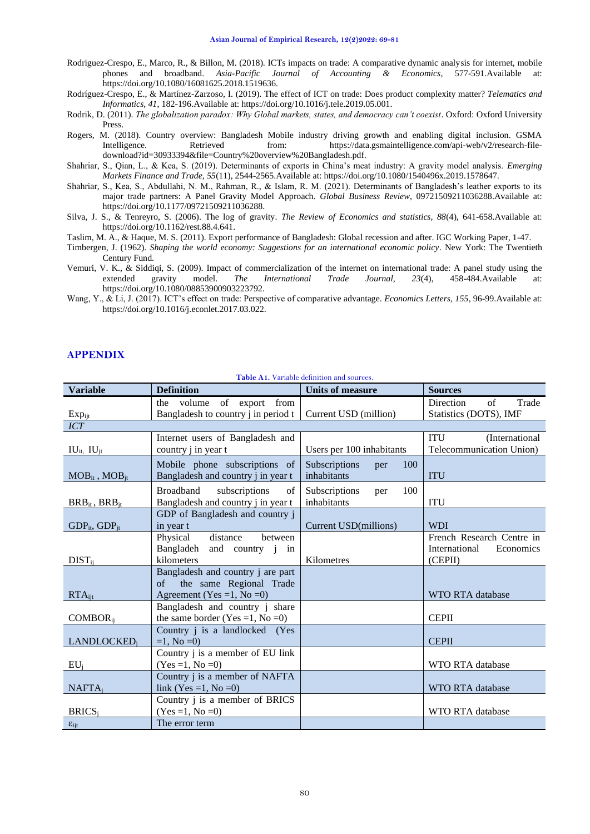- <span id="page-11-2"></span>Rodriguez-Crespo, E., Marco, R., & Billon, M. (2018). ICTs impacts on trade: A comparative dynamic analysis for internet, mobile phones and broadband. *Asia-Pacific Journal of Accounting & Economics*, 577-591.Available at: https://doi.org/10.1080/16081625.2018.1519636.
- <span id="page-11-3"></span>Rodríguez-Crespo, E., & Martínez-Zarzoso, I. (2019). The effect of ICT on trade: Does product complexity matter? *Telematics and Informatics, 41*, 182-196.Available at: https://doi.org/10.1016/j.tele.2019.05.001.
- <span id="page-11-8"></span>Rodrik, D. (2011). *The globalization paradox: Why Global markets, states, and democracy can't coexist*. Oxford: Oxford University Press.
- <span id="page-11-1"></span>Rogers, M. (2018). Country overview: Bangladesh Mobile industry driving growth and enabling digital inclusion. GSMA<br>Intelligence. Retrieved from: https://data.gsmaintelligence.com/api-web/v2/research-filehttps://data.gsmaintelligence.com/api-web/v2/research-filedownload?id=30933394&file=Country%20overview%20Bangladesh.pdf.
- <span id="page-11-9"></span>Shahriar, S., Qian, L., & Kea, S. (2019). Determinants of exports in China's meat industry: A gravity model analysis. *Emerging Markets Finance and Trade, 55*(11), 2544-2565.Available at: https://doi.org/10.1080/1540496x.2019.1578647.
- <span id="page-11-6"></span>Shahriar, S., Kea, S., Abdullahi, N. M., Rahman, R., & Islam, R. M. (2021). Determinants of Bangladesh's leather exports to its major trade partners: A Panel Gravity Model Approach. *Global Business Review*, 09721509211036288.Available at: https://doi.org/10.1177/09721509211036288.
- <span id="page-11-11"></span>Silva, J. S., & Tenreyro, S. (2006). The log of gravity. *The Review of Economics and statistics, 88*(4), 641-658.Available at: https://doi.org/10.1162/rest.88.4.641.
- <span id="page-11-0"></span>Taslim, M. A., & Haque, M. S. (2011). Export performance of Bangladesh: Global recession and after. IGC Working Paper, 1-47.
- <span id="page-11-7"></span>Timbergen, J. (1962). *Shaping the world economy: Suggestions for an international economic policy*. New York: The Twentieth Century Fund.
- <span id="page-11-4"></span>Vemuri, V. K., & Siddiqi, S. (2009). Impact of commercialization of the internet on international trade: A panel study using the extended gravity model. *The International Trade Journal, 23*(4), 458-484.Available at: https://doi.org/10.1080/08853900903223792.
- <span id="page-11-5"></span>Wang, Y., & Li, J. (2017). ICT's effect on trade: Perspective of comparative advantage. *Economics Letters, 155*, 96-99.Available at: https://doi.org/10.1016/j.econlet.2017.03.022.

## **APPENDIX**

<span id="page-11-10"></span>

| <b>Variable</b>                                     | <b>Definition</b>                                                                              | <b>Units of measure</b>                    | <b>Sources</b>                                                     |  |  |
|-----------------------------------------------------|------------------------------------------------------------------------------------------------|--------------------------------------------|--------------------------------------------------------------------|--|--|
| $Exp_{ii}$                                          | the volume of export from<br>Bangladesh to country j in period t                               | Current USD (million)                      | <b>Direction</b><br>of<br>Trade<br>Statistics (DOTS), IMF          |  |  |
| ICT                                                 |                                                                                                |                                            |                                                                    |  |  |
| $IU_{it,} IU_{jt}$                                  | Internet users of Bangladesh and<br>country j in year t                                        | Users per 100 inhabitants                  | <b>ITU</b><br>(International)<br>Telecommunication Union)          |  |  |
| $\text{MOB}_{\text{it}}$ , $\text{MOB}_{\text{jt}}$ | Mobile phone subscriptions of<br>Bangladesh and country j in year t                            | Subscriptions<br>100<br>per<br>inhabitants | <b>ITU</b>                                                         |  |  |
| $BRB_{it}$ , $BRB_{it}$                             | Broadband<br>subscriptions<br>of<br>Bangladesh and country j in year t                         | 100<br>Subscriptions<br>per<br>inhabitants | <b>ITU</b>                                                         |  |  |
| $GDP_{it}$ , $GDP_{it}$                             | GDP of Bangladesh and country j<br>in year t                                                   | Current USD(millions)                      | <b>WDI</b>                                                         |  |  |
| $DIST_{ii}$                                         | Physical<br>distance<br>between<br>Bangladeh and country j in<br>kilometers                    | Kilometres                                 | French Research Centre in<br>International<br>Economics<br>(CEPII) |  |  |
| $RTA_{\text{lit}}$                                  | Bangladesh and country j are part<br>of the same Regional Trade<br>Agreement (Yes = 1, No = 0) |                                            | <b>WTO RTA database</b>                                            |  |  |
| <b>COMBOR</b> <sub>ij</sub>                         | Bangladesh and country <i>j</i> share<br>the same border (Yes = 1, No = 0)                     |                                            | <b>CEPII</b>                                                       |  |  |
| LANDLOCKED;                                         | Country <i>j</i> is a landlocked (Yes<br>$=1, No = 0$                                          |                                            | <b>CEPII</b>                                                       |  |  |
| $EU_i$                                              | Country <i>j</i> is a member of EU link<br>$(Yes = 1, No = 0)$                                 |                                            | WTO RTA database                                                   |  |  |
| <b>NAFTA</b> <sub>i</sub>                           | Country j is a member of NAFTA<br>link (Yes = 1, No = 0)                                       |                                            | <b>WTO RTA database</b>                                            |  |  |
| BRICS <sub>i</sub>                                  | Country <i>j</i> is a member of BRICS<br>$(Yes = 1, No = 0)$                                   |                                            | WTO RTA database                                                   |  |  |
| $\varepsilon$ <sub>ijt</sub>                        | The error term                                                                                 |                                            |                                                                    |  |  |

**Table A1.** Variable definition and sources.